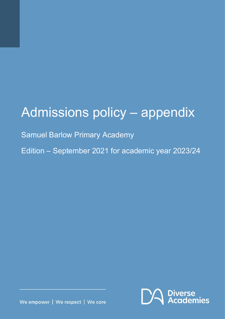# Admissions policy – appendix

Samuel Barlow Primary Academy

Edition – September 2021 for academic year 2023/24



We empower | We respect | We care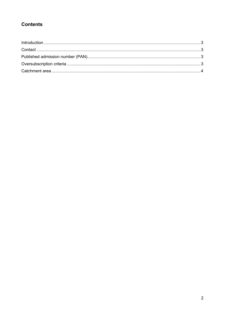## **Contents**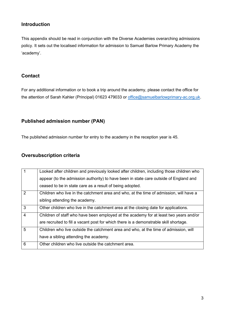#### <span id="page-2-0"></span>**Introduction**

This appendix should be read in conjunction with the Diverse Academies overarching admissions policy. It sets out the localised information for admission to Samuel Barlow Primary Academy the 'academy'.

#### <span id="page-2-1"></span>**Contact**

For any additional information or to book a trip around the academy, please contact the office for the attention of Sarah Kahler (Principal) 01623 479033 or [office@samuelbarlowprimary-ac.org.uk.](mailto:office@samuelbarlowprimary-ac.org.uk)

### <span id="page-2-2"></span>**Published admission number (PAN)**

The published admission number for entry to the academy in the reception year is 45.

#### <span id="page-2-3"></span>**Oversubscription criteria**

|                | Looked after children and previously looked after children, including those children who |
|----------------|------------------------------------------------------------------------------------------|
|                | appear (to the admission authority) to have been in state care outside of England and    |
|                | ceased to be in state care as a result of being adopted.                                 |
| 2              | Children who live in the catchment area and who, at the time of admission, will have a   |
|                | sibling attending the academy.                                                           |
| 3              | Other children who live in the catchment area at the closing date for applications.      |
| $\overline{4}$ | Children of staff who have been employed at the academy for at least two years and/or    |
|                | are recruited to fill a vacant post for which there is a demonstrable skill shortage.    |
| 5              | Children who live outside the catchment area and who, at the time of admission, will     |
|                | have a sibling attending the academy.                                                    |
| 6              | Other children who live outside the catchment area.                                      |